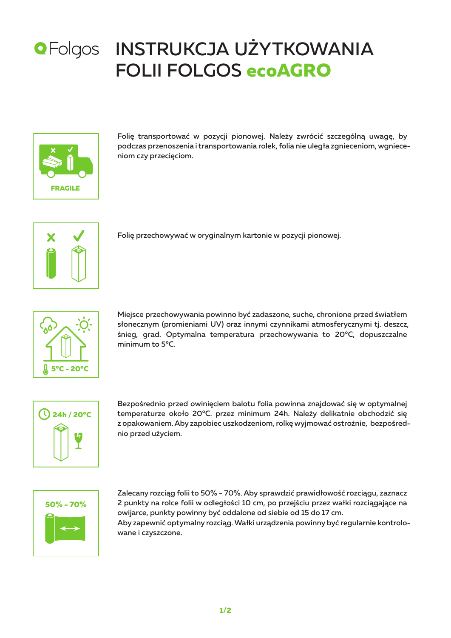

# **OFolgos INSTRUKCJA UŻYTKOWANIA** FOLII FOLGOS **ecoAGRO**



Folię transportować w pozycji pionowej. Należy zwrócić szczególną uwagę, by podczas przenoszenia i transportowania rolek, folia nie uległa zgnieceniom, wgnieceniom czy przecięciom.



Folię przechowywać w oryginalnym kartonie w pozycji pionowej.



Miejsce przechowywania powinno być zadaszone, suche, chronione przed światłem słonecznym (promieniami UV) oraz innymi czynnikami atmosferycznymi tj. deszcz, śnieg, grad. Optymalna temperatura przechowywania to 20°C, dopuszczalne minimum to 5°C.



Bezpośrednio przed owinięciem balotu folia powinna znajdować się w optymalnej temperaturze około 20°C. przez minimum 24h. Należy delikatnie obchodzić się z opakowaniem. Aby zapobiec uszkodzeniom, rolkę wyjmować ostrożnie, bezpośrednio przed użyciem.



Zalecany rozciąg folii to 50% - 70%. Aby sprawdzić prawidłowość rozciągu, zaznacz 2 punkty na rolce folii w odległości 10 cm, po przejściu przez wałki rozciągające na owijarce, punkty powinny być oddalone od siebie od 15 do 17 cm. Aby zapewnić optymalny rozciąg. Wałki urządzenia powinny być regularnie kontrolowane i czyszczone.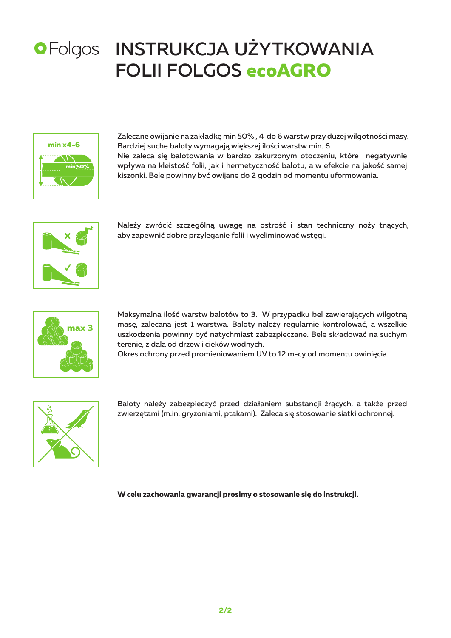

## **OFolgos INSTRUKCJA UŻYTKOWANIA** FOLII FOLGOS **ecoAGRO**



Zalecane owijanie na zakładkę min 50% , 4 do 6 warstw przy dużej wilgotności masy. Bardziej suche baloty wymagają większej ilości warstw min. 6 Nie zaleca się balotowania w bardzo zakurzonym otoczeniu, które negatywnie wpływa na kleistość folii, jak i hermetyczność balotu, a w efekcie na jakość samej kiszonki. Bele powinny być owijane do 2 godzin od momentu uformowania.



Należy zwrócić szczególną uwagę na ostrość i stan techniczny noży tnących, aby zapewnić dobre przyleganie folii i wyeliminować wstęgi.



Maksymalna ilość warstw balotów to 3. W przypadku bel zawierających wilgotną masę, zalecana jest 1 warstwa. Baloty należy regularnie kontrolować, a wszelkie uszkodzenia powinny być natychmiast zabezpieczane. Bele składować na suchym terenie, z dala od drzew i cieków wodnych.

Okres ochrony przed promieniowaniem UV to 12 m-cy od momentu owinięcia.



Baloty należy zabezpieczyć przed działaniem substancji żrących, a także przed zwierzętami (m.in. gryzoniami, ptakami). Zaleca się stosowanie siatki ochronnej.

**W celu zachowania gwarancji prosimy o stosowanie się do instrukcji.**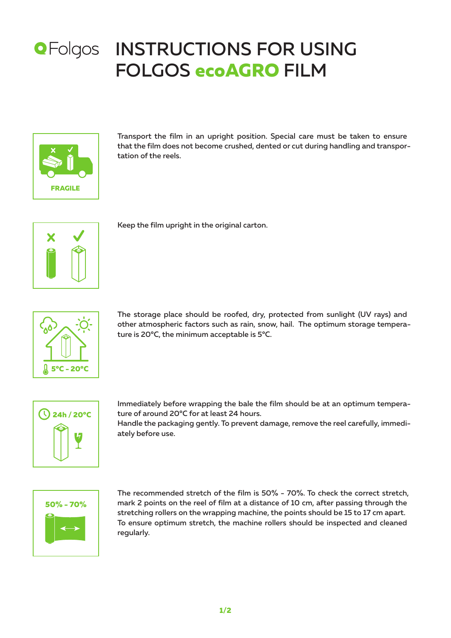

#### INSTRUCTIONS FOR USING FOLGOS **ecoAGRO** FILM



Transport the film in an upright position. Special care must be taken to ensure that the film does not become crushed, dented or cut during handling and transportation of the reels.



Keep the film upright in the original carton.



The storage place should be roofed, dry, protected from sunlight (UV rays) and other atmospheric factors such as rain, snow, hail. The optimum storage temperature is 20°C, the minimum acceptable is 5°C.



Immediately before wrapping the bale the film should be at an optimum temperature of around 20°C for at least 24 hours.

Handle the packaging gently. To prevent damage, remove the reel carefully, immediately before use.



The recommended stretch of the film is 50% - 70%. To check the correct stretch, mark 2 points on the reel of film at a distance of 10 cm, after passing through the stretching rollers on the wrapping machine, the points should be 15 to 17 cm apart. To ensure optimum stretch, the machine rollers should be inspected and cleaned regularly.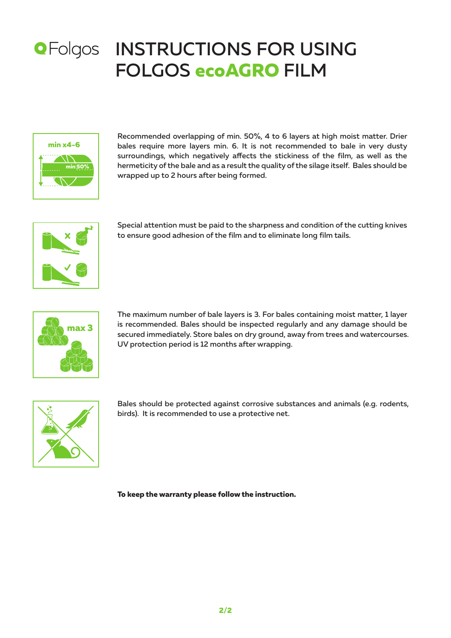



Recommended overlapping of min. 50%, 4 to 6 layers at high moist matter. Drier bales require more layers min. 6. It is not recommended to bale in very dusty surroundings, which negatively affects the stickiness of the film, as well as the hermeticity of the bale and as a result the quality of the silage itself. Bales should be wrapped up to 2 hours after being formed.



Special attention must be paid to the sharpness and condition of the cutting knives to ensure good adhesion of the film and to eliminate long film tails.



The maximum number of bale layers is 3. For bales containing moist matter, 1 layer is recommended. Bales should be inspected regularly and any damage should be secured immediately. Store bales on dry ground, away from trees and watercourses. UV protection period is 12 months after wrapping.



Bales should be protected against corrosive substances and animals (e.g. rodents, birds). It is recommended to use a protective net.

**To keep the warranty please follow the instruction.**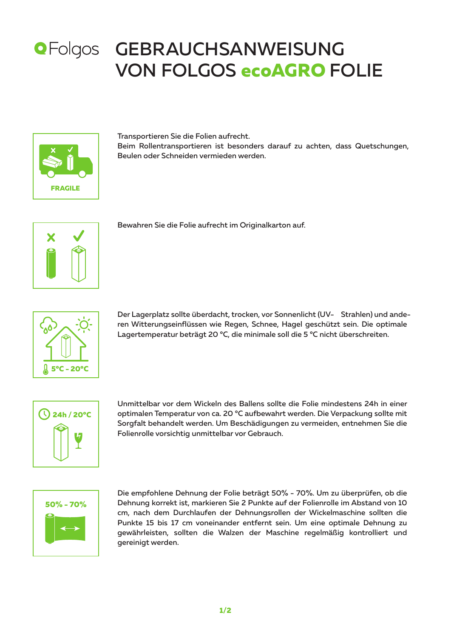#### **OFolgos GEBRAUCHSANWEISUNG** VON FOLGOS **ecoAGRO** FOLIE



Transportieren Sie die Folien aufrecht. Beim Rollentransportieren ist besonders darauf zu achten, dass Quetschungen, Beulen oder Schneiden vermieden werden.



Bewahren Sie die Folie aufrecht im Originalkarton auf.



Der Lagerplatz sollte überdacht, trocken, vor Sonnenlicht (UV- Strahlen) und anderen Witterungseinflüssen wie Regen, Schnee, Hagel geschützt sein. Die optimale Lagertemperatur beträgt 20 °C, die minimale soll die 5 °C nicht überschreiten.



Unmittelbar vor dem Wickeln des Ballens sollte die Folie mindestens 24h in einer optimalen Temperatur von ca. 20 °C aufbewahrt werden. Die Verpackung sollte mit Sorgfalt behandelt werden. Um Beschädigungen zu vermeiden, entnehmen Sie die Folienrolle vorsichtig unmittelbar vor Gebrauch.



Die empfohlene Dehnung der Folie beträgt 50% - 70%. Um zu überprüfen, ob die Dehnung korrekt ist, markieren Sie 2 Punkte auf der Folienrolle im Abstand von 10 cm, nach dem Durchlaufen der Dehnungsrollen der Wickelmaschine sollten die Punkte 15 bis 17 cm voneinander entfernt sein. Um eine optimale Dehnung zu gewährleisten, sollten die Walzen der Maschine regelmäßig kontrolliert und gereinigt werden.